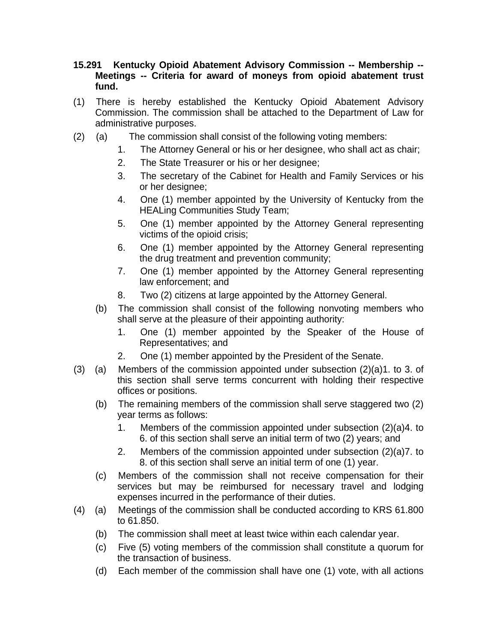- **15.291 Kentucky Opioid Abatement Advisory Commission -- Membership -- Meetings -- Criteria for award of moneys from opioid abatement trust fund.**
- (1) There is hereby established the Kentucky Opioid Abatement Advisory Commission. The commission shall be attached to the Department of Law for administrative purposes.
- (2) (a) The commission shall consist of the following voting members:
	- 1. The Attorney General or his or her designee, who shall act as chair;
	- 2. The State Treasurer or his or her designee;
	- 3. The secretary of the Cabinet for Health and Family Services or his or her designee;
	- 4. One (1) member appointed by the University of Kentucky from the HEALing Communities Study Team;
	- 5. One (1) member appointed by the Attorney General representing victims of the opioid crisis;
	- 6. One (1) member appointed by the Attorney General representing the drug treatment and prevention community;
	- 7. One (1) member appointed by the Attorney General representing law enforcement; and
	- 8. Two (2) citizens at large appointed by the Attorney General.
	- (b) The commission shall consist of the following nonvoting members who shall serve at the pleasure of their appointing authority:
		- 1. One (1) member appointed by the Speaker of the House of Representatives; and
		- 2. One (1) member appointed by the President of the Senate.
- (3) (a) Members of the commission appointed under subsection  $(2)(a)$ 1. to 3. of this section shall serve terms concurrent with holding their respective offices or positions.
	- (b) The remaining members of the commission shall serve staggered two (2) year terms as follows:
		- 1. Members of the commission appointed under subsection (2)(a)4. to 6. of this section shall serve an initial term of two (2) years; and
		- 2. Members of the commission appointed under subsection (2)(a)7. to 8. of this section shall serve an initial term of one (1) year.
	- (c) Members of the commission shall not receive compensation for their services but may be reimbursed for necessary travel and lodging expenses incurred in the performance of their duties.
- (4) (a) Meetings of the commission shall be conducted according to KRS 61.800 to 61.850.
	- (b) The commission shall meet at least twice within each calendar year.
	- (c) Five (5) voting members of the commission shall constitute a quorum for the transaction of business.
	- (d) Each member of the commission shall have one (1) vote, with all actions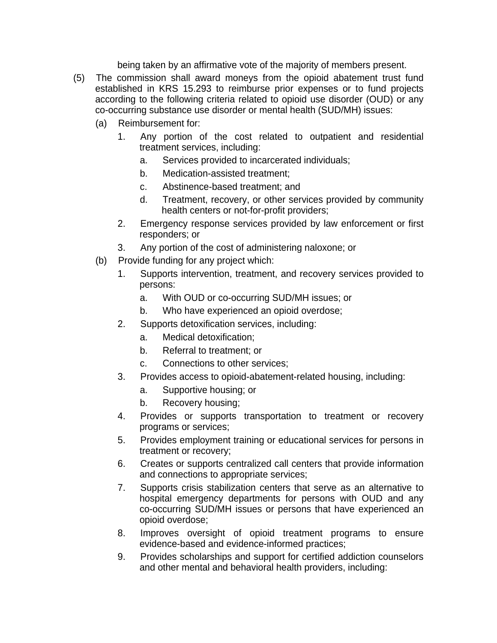being taken by an affirmative vote of the majority of members present.

- (5) The commission shall award moneys from the opioid abatement trust fund established in KRS 15.293 to reimburse prior expenses or to fund projects according to the following criteria related to opioid use disorder (OUD) or any co-occurring substance use disorder or mental health (SUD/MH) issues:
	- (a) Reimbursement for:
		- 1. Any portion of the cost related to outpatient and residential treatment services, including:
			- a. Services provided to incarcerated individuals;
			- b. Medication-assisted treatment;
			- c. Abstinence-based treatment; and
			- d. Treatment, recovery, or other services provided by community health centers or not-for-profit providers;
		- 2. Emergency response services provided by law enforcement or first responders; or
		- 3. Any portion of the cost of administering naloxone; or
	- (b) Provide funding for any project which:
		- 1. Supports intervention, treatment, and recovery services provided to persons:
			- a. With OUD or co-occurring SUD/MH issues; or
			- b. Who have experienced an opioid overdose;
		- 2. Supports detoxification services, including:
			- a. Medical detoxification;
			- b. Referral to treatment; or
			- c. Connections to other services;
		- 3. Provides access to opioid-abatement-related housing, including:
			- a. Supportive housing; or
			- b. Recovery housing;
		- 4. Provides or supports transportation to treatment or recovery programs or services;
		- 5. Provides employment training or educational services for persons in treatment or recovery;
		- 6. Creates or supports centralized call centers that provide information and connections to appropriate services;
		- 7. Supports crisis stabilization centers that serve as an alternative to hospital emergency departments for persons with OUD and any co-occurring SUD/MH issues or persons that have experienced an opioid overdose;
		- 8. Improves oversight of opioid treatment programs to ensure evidence-based and evidence-informed practices;
		- 9. Provides scholarships and support for certified addiction counselors and other mental and behavioral health providers, including: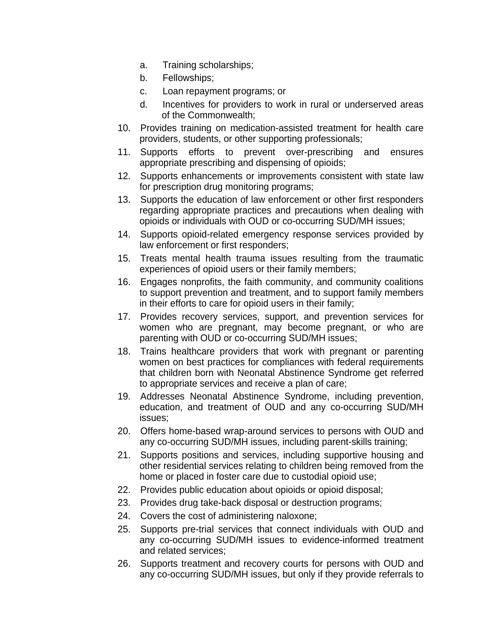- a. Training scholarships;
- b. Fellowships;
- c. Loan repayment programs; or
- d. Incentives for providers to work in rural or underserved areas of the Commonwealth;
- 10. Provides training on medication-assisted treatment for health care providers, students, or other supporting professionals;
- 11. Supports efforts to prevent over-prescribing and ensures appropriate prescribing and dispensing of opioids;
- 12. Supports enhancements or improvements consistent with state law for prescription drug monitoring programs;
- 13. Supports the education of law enforcement or other first responders regarding appropriate practices and precautions when dealing with opioids or individuals with OUD or co-occurring SUD/MH issues;
- 14. Supports opioid-related emergency response services provided by law enforcement or first responders;
- 15. Treats mental health trauma issues resulting from the traumatic experiences of opioid users or their family members;
- 16. Engages nonprofits, the faith community, and community coalitions to support prevention and treatment, and to support family members in their efforts to care for opioid users in their family;
- 17. Provides recovery services, support, and prevention services for women who are pregnant, may become pregnant, or who are parenting with OUD or co-occurring SUD/MH issues;
- 18. Trains healthcare providers that work with pregnant or parenting women on best practices for compliances with federal requirements that children born with Neonatal Abstinence Syndrome get referred to appropriate services and receive a plan of care;
- 19. Addresses Neonatal Abstinence Syndrome, including prevention, education, and treatment of OUD and any co-occurring SUD/MH issues;
- 20. Offers home-based wrap-around services to persons with OUD and any co-occurring SUD/MH issues, including parent-skills training;
- 21. Supports positions and services, including supportive housing and other residential services relating to children being removed from the home or placed in foster care due to custodial opioid use;
- 22. Provides public education about opioids or opioid disposal;
- 23. Provides drug take-back disposal or destruction programs;
- 24. Covers the cost of administering naloxone;
- 25. Supports pre-trial services that connect individuals with OUD and any co-occurring SUD/MH issues to evidence-informed treatment and related services;
- 26. Supports treatment and recovery courts for persons with OUD and any co-occurring SUD/MH issues, but only if they provide referrals to